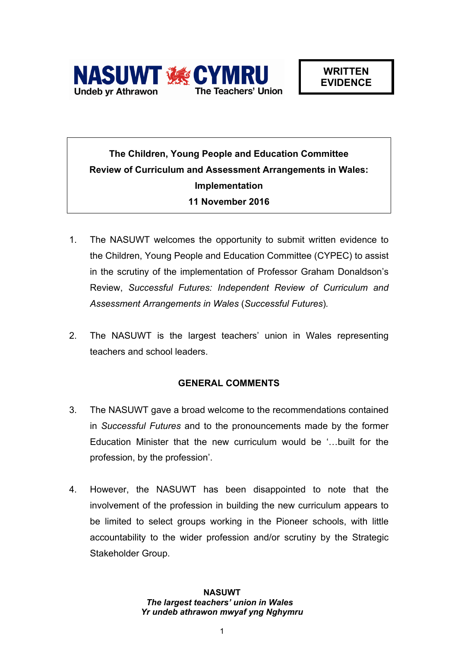

# **The Children, Young People and Education Committee Review of Curriculum and Assessment Arrangements in Wales: Implementation 11 November 2016**

- 1. The NASUWT welcomes the opportunity to submit written evidence to the Children, Young People and Education Committee (CYPEC) to assist in the scrutiny of the implementation of Professor Graham Donaldson's Review, *Successful Futures: Independent Review of Curriculum and Assessment Arrangements in Wales* (*Successful Futures*)*.*
- 2. The NASUWT is the largest teachers' union in Wales representing teachers and school leaders.

## **GENERAL COMMENTS**

- 3. The NASUWT gave a broad welcome to the recommendations contained in *Successful Futures* and to the pronouncements made by the former Education Minister that the new curriculum would be '…built for the profession, by the profession'.
- 4. However, the NASUWT has been disappointed to note that the involvement of the profession in building the new curriculum appears to be limited to select groups working in the Pioneer schools, with little accountability to the wider profession and/or scrutiny by the Strategic Stakeholder Group.

### **NASUWT** *The largest teachers' union in Wales Yr undeb athrawon mwyaf yng Nghymru*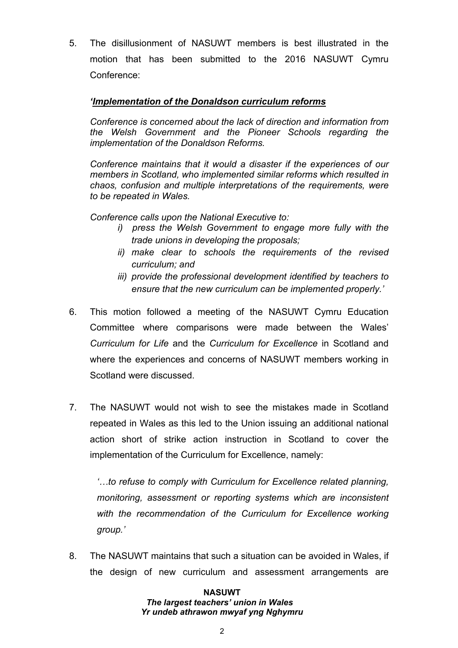5. The disillusionment of NASUWT members is best illustrated in the motion that has been submitted to the 2016 NASUWT Cymru Conference:

## *'Implementation of the Donaldson curriculum reforms*

*Conference is concerned about the lack of direction and information from the Welsh Government and the Pioneer Schools regarding the implementation of the Donaldson Reforms.*

*Conference maintains that it would a disaster if the experiences of our members in Scotland, who implemented similar reforms which resulted in chaos, confusion and multiple interpretations of the requirements, were to be repeated in Wales.*

*Conference calls upon the National Executive to:*

- *i) press the Welsh Government to engage more fully with the trade unions in developing the proposals;*
- *ii) make clear to schools the requirements of the revised curriculum; and*
- *iii) provide the professional development identified by teachers to ensure that the new curriculum can be implemented properly.'*
- 6. This motion followed a meeting of the NASUWT Cymru Education Committee where comparisons were made between the Wales' *Curriculum for Life* and the *Curriculum for Excellence* in Scotland and where the experiences and concerns of NASUWT members working in Scotland were discussed.
- 7. The NASUWT would not wish to see the mistakes made in Scotland repeated in Wales as this led to the Union issuing an additional national action short of strike action instruction in Scotland to cover the implementation of the Curriculum for Excellence, namely:

*'…to refuse to comply with Curriculum for Excellence related planning, monitoring, assessment or reporting systems which are inconsistent with the recommendation of the Curriculum for Excellence working group.'*

8. The NASUWT maintains that such a situation can be avoided in Wales, if the design of new curriculum and assessment arrangements are

#### **NASUWT**

#### *The largest teachers' union in Wales Yr undeb athrawon mwyaf yng Nghymru*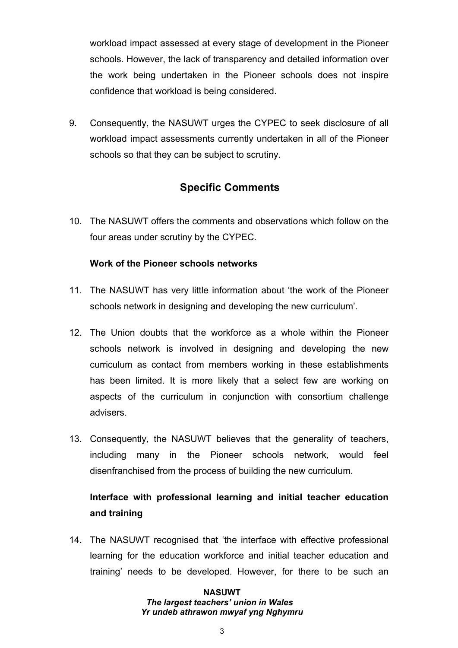workload impact assessed at every stage of development in the Pioneer schools. However, the lack of transparency and detailed information over the work being undertaken in the Pioneer schools does not inspire confidence that workload is being considered.

9. Consequently, the NASUWT urges the CYPEC to seek disclosure of all workload impact assessments currently undertaken in all of the Pioneer schools so that they can be subject to scrutiny.

## **Specific Comments**

10. The NASUWT offers the comments and observations which follow on the four areas under scrutiny by the CYPEC.

## **Work of the Pioneer schools networks**

- 11. The NASUWT has very little information about 'the work of the Pioneer schools network in designing and developing the new curriculum'.
- 12. The Union doubts that the workforce as a whole within the Pioneer schools network is involved in designing and developing the new curriculum as contact from members working in these establishments has been limited. It is more likely that a select few are working on aspects of the curriculum in conjunction with consortium challenge advisers.
- 13. Consequently, the NASUWT believes that the generality of teachers, including many in the Pioneer schools network, would feel disenfranchised from the process of building the new curriculum.

## **Interface with professional learning and initial teacher education and training**

14. The NASUWT recognised that 'the interface with effective professional learning for the education workforce and initial teacher education and training' needs to be developed. However, for there to be such an

## **NASUWT**

## *The largest teachers' union in Wales Yr undeb athrawon mwyaf yng Nghymru*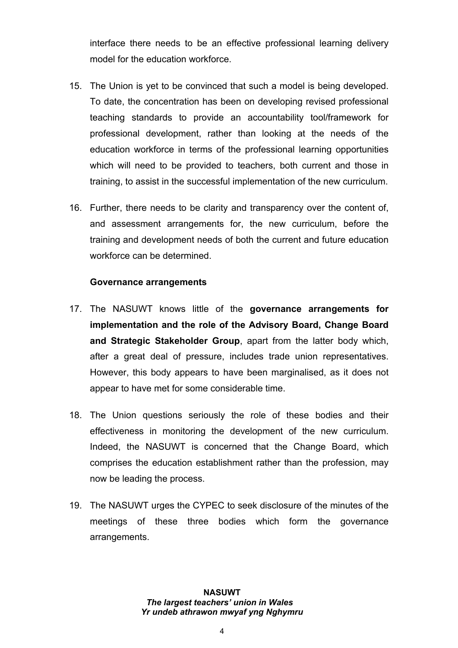interface there needs to be an effective professional learning delivery model for the education workforce.

- 15. The Union is yet to be convinced that such a model is being developed. To date, the concentration has been on developing revised professional teaching standards to provide an accountability tool/framework for professional development, rather than looking at the needs of the education workforce in terms of the professional learning opportunities which will need to be provided to teachers, both current and those in training, to assist in the successful implementation of the new curriculum.
- 16. Further, there needs to be clarity and transparency over the content of, and assessment arrangements for, the new curriculum, before the training and development needs of both the current and future education workforce can be determined.

## **Governance arrangements**

- 17. The NASUWT knows little of the **governance arrangements for implementation and the role of the Advisory Board, Change Board and Strategic Stakeholder Group**, apart from the latter body which, after a great deal of pressure, includes trade union representatives. However, this body appears to have been marginalised, as it does not appear to have met for some considerable time.
- 18. The Union questions seriously the role of these bodies and their effectiveness in monitoring the development of the new curriculum. Indeed, the NASUWT is concerned that the Change Board, which comprises the education establishment rather than the profession, may now be leading the process.
- 19. The NASUWT urges the CYPEC to seek disclosure of the minutes of the meetings of these three bodies which form the governance arrangements.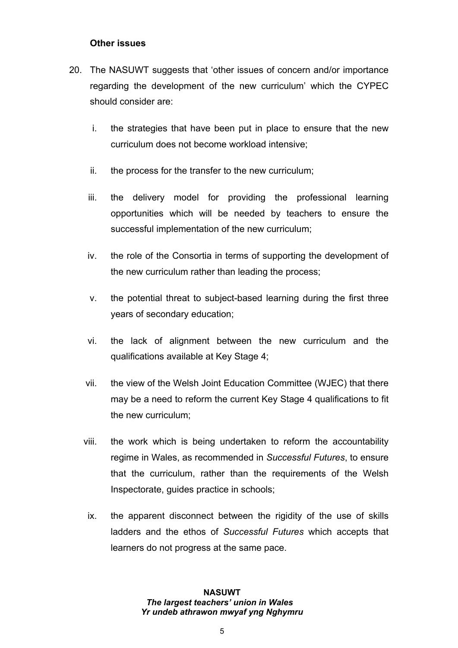## **Other issues**

- 20. The NASUWT suggests that 'other issues of concern and/or importance regarding the development of the new curriculum' which the CYPEC should consider are:
	- i. the strategies that have been put in place to ensure that the new curriculum does not become workload intensive;
	- ii. the process for the transfer to the new curriculum;
	- iii. the delivery model for providing the professional learning opportunities which will be needed by teachers to ensure the successful implementation of the new curriculum;
	- iv. the role of the Consortia in terms of supporting the development of the new curriculum rather than leading the process;
	- v. the potential threat to subject-based learning during the first three years of secondary education;
	- vi. the lack of alignment between the new curriculum and the qualifications available at Key Stage 4;
	- vii. the view of the Welsh Joint Education Committee (WJEC) that there may be a need to reform the current Key Stage 4 qualifications to fit the new curriculum;
	- viii. the work which is being undertaken to reform the accountability regime in Wales, as recommended in *Successful Futures*, to ensure that the curriculum, rather than the requirements of the Welsh Inspectorate, guides practice in schools;
		- ix. the apparent disconnect between the rigidity of the use of skills ladders and the ethos of *Successful Futures* which accepts that learners do not progress at the same pace.

#### **NASUWT** *The largest teachers' union in Wales Yr undeb athrawon mwyaf yng Nghymru*